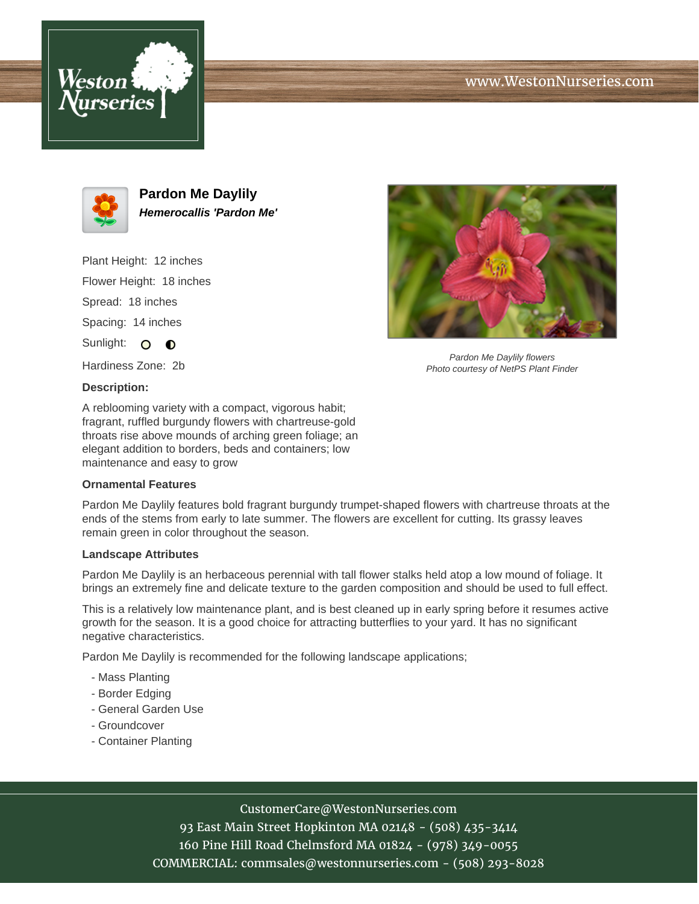





**Pardon Me Daylily Hemerocallis 'Pardon Me'**

Plant Height: 12 inches Flower Height: 18 inches Spread: 18 inches Spacing: 14 inches Sunlight: O O

Hardiness Zone: 2b

## **Description:**

A reblooming variety with a compact, vigorous habit; fragrant, ruffled burgundy flowers with chartreuse-gold throats rise above mounds of arching green foliage; an elegant addition to borders, beds and containers; low maintenance and easy to grow

## **Ornamental Features**

Pardon Me Daylily features bold fragrant burgundy trumpet-shaped flowers with chartreuse throats at the ends of the stems from early to late summer. The flowers are excellent for cutting. Its grassy leaves remain green in color throughout the season.

## **Landscape Attributes**

Pardon Me Daylily is an herbaceous perennial with tall flower stalks held atop a low mound of foliage. It brings an extremely fine and delicate texture to the garden composition and should be used to full effect.

This is a relatively low maintenance plant, and is best cleaned up in early spring before it resumes active growth for the season. It is a good choice for attracting butterflies to your yard. It has no significant negative characteristics.

Pardon Me Daylily is recommended for the following landscape applications;

- Mass Planting
- Border Edging
- General Garden Use
- Groundcover
- Container Planting



93 East Main Street Hopkinton MA 02148 - (508) 435-3414 160 Pine Hill Road Chelmsford MA 01824 - (978) 349-0055 COMMERCIAL: commsales@westonnurseries.com - (508) 293-8028



Pardon Me Daylily flowers Photo courtesy of NetPS Plant Finder